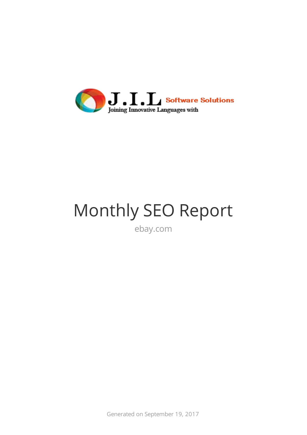

# Monthly SEO Report

ebay.com

Generated on September 19, 2017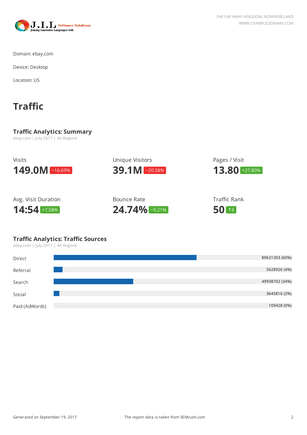

Domain: ebay.com

Device: Desktop

Location: US

# **Traffic**

#### **Traffic Analytics: Summary** ebay.com | July 2017 | All Regions

Visits **149.0M**  $-16.69%$ Unique Visitors **39.1M** −20.58% Pages / Visit **13.80** +27.80% Avg. Visit Duration **14:54** +7.58% Bounce Rate **24.74%**  $-0.21\%$ Traffic Rank **50** <sup>↑</sup><sup>6</sup>

## **Traffic Analytics: Traffic Sources**

ebay.com | July 2017 | All Regions

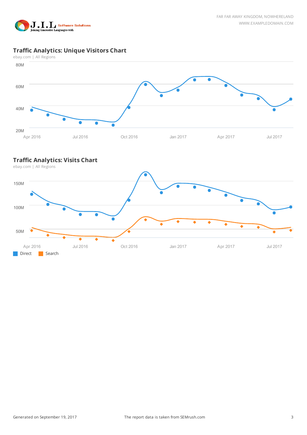



## **Traffic Analytics: Unique Visitors Chart**

ebay.com | All Regions



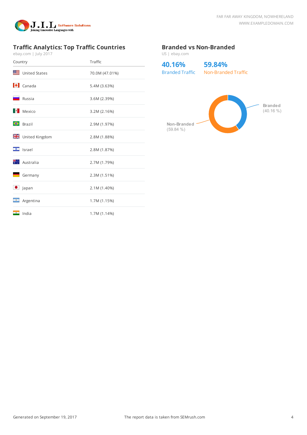

## **Traffic Analytics: Top Traffic Countries**

ebay.com | July 2017

| Country                  |                                 | Traffic        |  |  |
|--------------------------|---------------------------------|----------------|--|--|
|                          | United States                   | 70.0M (47.01%) |  |  |
|                          | $\left  \bullet \right $ Canada | 5.4M (3.63%)   |  |  |
|                          | Russia                          | 3.6M (2.39%)   |  |  |
|                          | Mexico                          | 3.2M (2.16%)   |  |  |
| ↔                        | <b>Brazil</b>                   | 2.9M (1.97%)   |  |  |
| 꽃눈                       | United Kingdom                  | 2.8M (1.88%)   |  |  |
| $\overline{\phantom{a}}$ | Israel                          | 2.8M (1.87%)   |  |  |
|                          | <b>No. Australia</b>            | 2.7M (1.79%)   |  |  |
|                          | Germany                         | 2.3M (1.51%)   |  |  |
|                          | Japan                           | 2.1M (1.40%)   |  |  |
|                          | Argentina                       | 1.7M (1.15%)   |  |  |
|                          | India                           | 1.7M (1.14%)   |  |  |

#### **Branded vs Non-Branded**

US | ebay.com

**40.16%** Branded Traffic **59.84%** Non-Branded Traffic

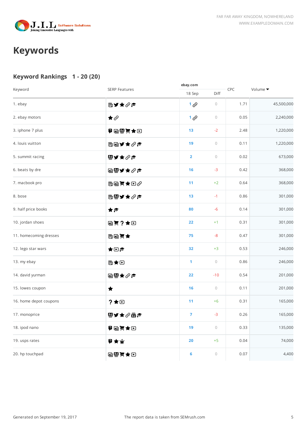

# **Keywords**

## **Keyword Rankings 1 - 20 (20)**

|                        |                      | ebay.com       |            |      |                             |
|------------------------|----------------------|----------------|------------|------|-----------------------------|
| Keyword                | <b>SERP Features</b> | 18 Sep         | Diff       | CPC  | Volume $\blacktriangledown$ |
| 1. ebay                | ▧Ⴘ★∂Ⴜ                | $1\varnothing$ | $\bigcirc$ | 1.71 | 45,500,000                  |
| 2. ebay motors         | $\star$ $\oslash$    | $1\degree$     | $\bigcirc$ | 0.05 | 2,240,000                   |
| 3. iphone 7 plus       | 9 国务其中国              | 13             | $-2$       | 2.48 | 1,220,000                   |
| 4. Iouis vuitton       | 围回ゾ★♂☆               | 19             | $\bigcirc$ | 0.11 | 1,220,000                   |
| 5. summit racing       | 嘔ゞ★♂☆                | $\overline{2}$ | $\bigcirc$ | 0.02 | 673,000                     |
| 6. beats by dre        | 圖璽ソ★♂☆               | 16             | $-3$       | 0.42 | 368,000                     |
| 7. macbook pro         | ③回真★回                | 11             | $+2$       | 0.64 | 368,000                     |
| 8. bose                | 围雪メ★∥庐               | 13             | $-1$       | 0.86 | 301,000                     |
| 9. half price books    | ★ き                  | 80             | $-6$       | 0.14 | 301,000                     |
| 10. jordan shoes       | 圖真?★回                | 22             | $+1$       | 0.31 | 301,000                     |
| 11. homecoming dresses | ⊪回真★                 | 75             | $-8$       | 0.47 | 301,000                     |
| 12. lego star wars     | ★⊡р                  | 32             | $+3$       | 0.53 | 246,000                     |
| 13. my ebay            | ③★⊡                  | 1              | $\bigcirc$ | 0.86 | 246,000                     |
| 14. david yurman       | 回堕★♂☆                | 22             | $-10$      | 0.54 | 201,000                     |
| 15. lowes coupon       | ★                    | 16             | $\bigcirc$ | 0.11 | 201,000                     |
| 16. home depot coupons | ?★⊡                  | 11             | $+6$       | 0.31 | 165,000                     |
| 17. monoprice          | 四メ★∥面に               | $7 -$          | $-3$       | 0.26 | 165,000                     |
| 18. ipod nano          | Q④真★⊡                | 19             | $\bigcirc$ | 0.33 | 135,000                     |
| 19. usps rates         | 日女业                  | 20             | $+5$       | 0.04 | 74,000                      |
| 20. hp touchpad        | 回望真★回                | 6              | $\bigcirc$ | 0.07 | 4,400                       |
|                        |                      |                |            |      |                             |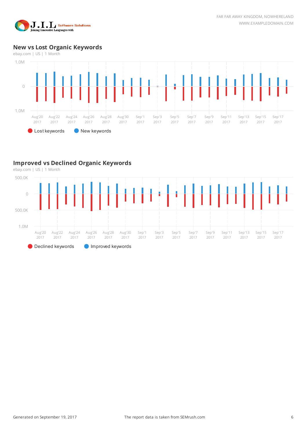

#### **New vs Lost Organic Keywords**



#### **Improved vs Declined Organic Keywords**

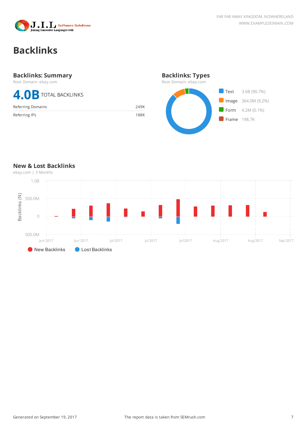

# **Backlinks**

### **Backlinks: Summary**

Root Domain: ebay.com

# **4.0**B TOTAL BACKLINKS

| Referring Domains | 249K |
|-------------------|------|
| Referring IPs     | 188K |



**New & Lost Backlinks**